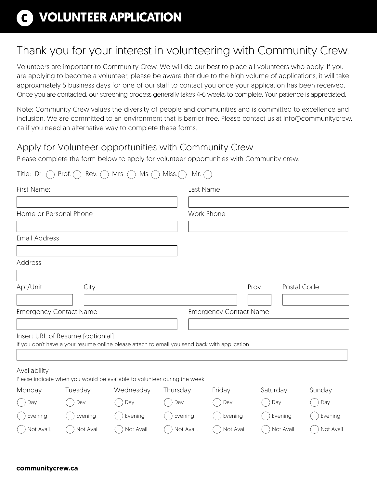# **VOLUNTEER APPLICATION**

## Thank you for your interest in volunteering with Community Crew.

Volunteers are important to Community Crew. We will do our best to place all volunteers who apply. If you are applying to become a volunteer, please be aware that due to the high volume of applications, it will take approximately 5 business days for one of our staff to contact you once your application has been received. Once you are contacted, our screening process generally takes 4-6 weeks to complete. Your patience is appreciated.

Note: Community Crew values the diversity of people and communities and is committed to excellence and inclusion. We are committed to an environment that is barrier free. Please contact us at info@communitycrew. ca if you need an alternative way to complete these forms.

### Apply for Volunteer opportunities with Community Crew

Please complete the form below to apply for volunteer opportunities with Community crew.

| Title: Dr. $\bigcap$          | Prof. $\bigcap$<br>Rev. $\bigcap$ | Mrs $\bigcap$<br>$Ms.$ $\cap$                                                                 | Miss. $\bigcap$<br>Mr. $($ |                               |          |             |            |  |
|-------------------------------|-----------------------------------|-----------------------------------------------------------------------------------------------|----------------------------|-------------------------------|----------|-------------|------------|--|
| First Name:                   |                                   |                                                                                               |                            | Last Name                     |          |             |            |  |
|                               |                                   |                                                                                               |                            |                               |          |             |            |  |
| Home or Personal Phone        |                                   |                                                                                               |                            | Work Phone                    |          |             |            |  |
|                               |                                   |                                                                                               |                            |                               |          |             |            |  |
| <b>Email Address</b>          |                                   |                                                                                               |                            |                               |          |             |            |  |
|                               |                                   |                                                                                               |                            |                               |          |             |            |  |
| Address                       |                                   |                                                                                               |                            |                               |          |             |            |  |
|                               |                                   |                                                                                               |                            |                               |          |             |            |  |
| Apt/Unit<br>City              |                                   |                                                                                               |                            |                               | Prov     | Postal Code |            |  |
|                               |                                   |                                                                                               |                            |                               |          |             |            |  |
| <b>Emergency Contact Name</b> |                                   |                                                                                               |                            | <b>Emergency Contact Name</b> |          |             |            |  |
|                               |                                   |                                                                                               |                            |                               |          |             |            |  |
|                               | Insert URL of Resume [optionial]  | If you don't have a your resume online please attach to email you send back with application. |                            |                               |          |             |            |  |
|                               |                                   |                                                                                               |                            |                               |          |             |            |  |
| Availability                  |                                   | Please indicate when you would be available to volunteer during the week                      |                            |                               |          |             |            |  |
| Monday                        | Tuesday                           | Wednesday                                                                                     | Thursday                   | Friday                        | Saturday |             | Sunday     |  |
| Day                           | Day                               | Day                                                                                           | Day                        | Day                           | Day      |             | Day        |  |
| Evening                       | Evening                           | Evening                                                                                       | Evening                    | Evening                       |          | Evening     | Evening    |  |
| Not Avail.                    | Not Avail.                        | Not Avail.                                                                                    | Not Avail.                 | Not Avail.                    |          | Not Avail.  | Not Avail. |  |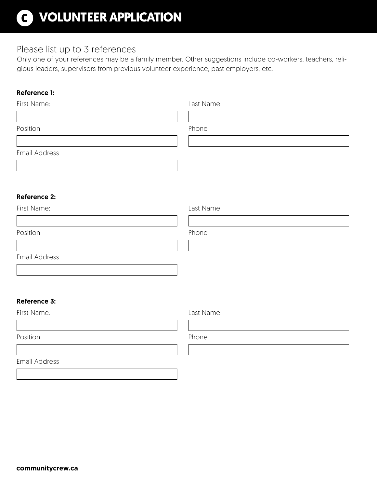# **VOLUNTEER APPLICATION**

### Please list up to 3 references

Only one of your references may be a family member. Other suggestions include co-workers, teachers, religious leaders, supervisors from previous volunteer experience, past employers, etc.

#### Reference 1:

| First Name:         | Last Name |  |  |  |
|---------------------|-----------|--|--|--|
|                     |           |  |  |  |
| Position            | Phone     |  |  |  |
|                     |           |  |  |  |
| Email Address       |           |  |  |  |
|                     |           |  |  |  |
|                     |           |  |  |  |
| <b>Reference 2:</b> |           |  |  |  |
| First Name:         | Last Name |  |  |  |
|                     |           |  |  |  |
| Position            | Phone     |  |  |  |
|                     |           |  |  |  |
| Email Address       |           |  |  |  |
|                     |           |  |  |  |
|                     |           |  |  |  |
|                     |           |  |  |  |
| <b>Reference 3:</b> |           |  |  |  |
| First Name:         | Last Name |  |  |  |
|                     |           |  |  |  |
| Position            | Phone     |  |  |  |
|                     |           |  |  |  |
| Email Address       |           |  |  |  |
|                     |           |  |  |  |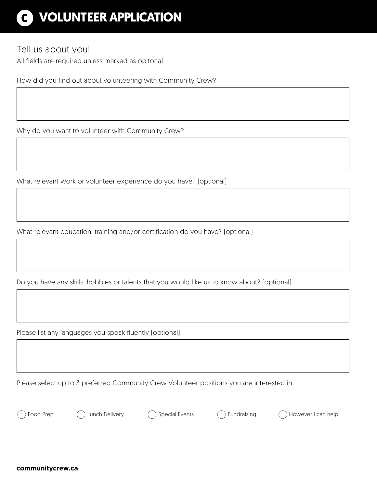# **VOLUNTEER APPLICATION**

### Tell us about you!

All fields are required unless marked as opitonal

How did you find out about volunteering with Community Crew?

Why do you want to volunteer with Community Crew?

What relevant work or volunteer experience do you have? (optional)

What relevant education, training and/or certification do you have? (optional)

Do you have any skills, hobbies or talents that you would like us to know about? (optional)

Please list any languages you speak fluently (optional)

Please select up to 3 preferred Community Crew Volunteer positions you are interested in

Food Prep Contained Contained Arrow Contained Contained Contained Contained Contained Contained Contained Contained Contained Contained Contained Contained Contained Contained Contained Contained Contained Contained Contai

**communitycrew.ca**